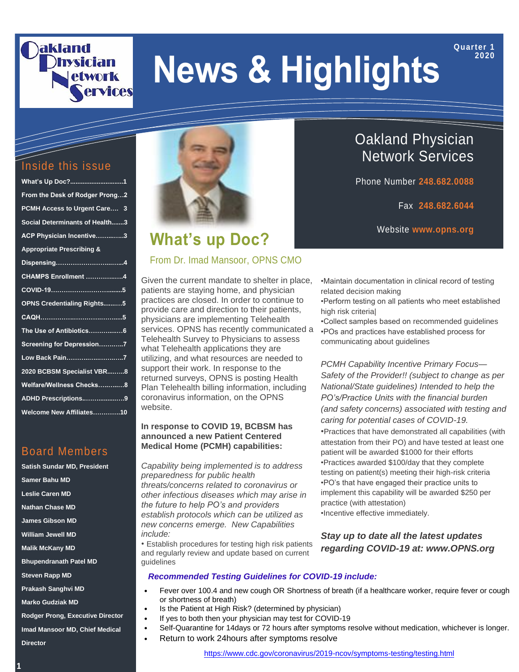### akland **hvsician** etwork ervices

# **News & Highlights**

#### Inside this issue

| What's Up Doc?1                      |
|--------------------------------------|
| From the Desk of Rodger Prong2       |
| PCMH Access to Urgent Care 3         |
| Social Determinants of Health3       |
| ACP Physician Incentive3             |
| <b>Appropriate Prescribing &amp;</b> |
|                                      |
| CHAMPS Enrollment 4                  |
|                                      |
| <b>OPNS Credentialing Rights5</b>    |
|                                      |
| The Use of Antibiotics6              |
| Screening for Depression7            |
| Low Back Pain <u></u> 7              |
| 2020 BCBSM Specialist VBR8           |
| Welfare/Wellness Checks8             |
| ADHD Prescriptions9                  |
| Welcome New Affiliates10             |
|                                      |

### Board Members

**Satish Sundar MD, President Samer Bahu MD Leslie Caren MD Nathan Chase MD James Gibson MD William Jewell MD Malik McKany MD Bhupendranath Patel MD Steven Rapp MD Prakash Sanghvi MD Marko Gudziak MD Rodger Prong, Executive Director**

**Imad Mansoor MD, Chief Medical Director**



### **What's up Doc?**

#### From Dr. Imad Mansoor, OPNS CMO

Given the current mandate to shelter in place, patients are staying home, and physician practices are closed. In order to continue to provide care and direction to their patients, physicians are implementing Telehealth services. OPNS has recently communicated a Telehealth Survey to Physicians to assess what Telehealth applications they are utilizing, and what resources are needed to support their work. In response to the returned surveys, OPNS is posting Health Plan Telehealth billing information, including coronavirus information, on the OPNS website.

#### **In response to COVID 19, BCBSM has announced a new Patient Centered Medical Home (PCMH) capabilities:**

*Capability being implemented is to address preparedness for public health threats/concerns related to coronavirus or other infectious diseases which may arise in the future to help PO's and providers establish protocols which can be utilized as new concerns emerge. New Capabilities include:*

• Establish procedures for testing high risk patients and regularly review and update based on current guidelines

Oakland Physician Network Services

Phone Number **248.682.0088**

Fax **248.682.6044**

**Quarter 1 2020**

Website **www.opns.org**

•Maintain documentation in clinical record of testing related decision making

•Perform testing on all patients who meet established high risk criteria|

•Collect samples based on recommended guidelines •POs and practices have established process for communicating about guidelines

*PCMH Capability Incentive Primary Focus— Safety of the Provider!! (subject to change as per National/State guidelines) Intended to help the PO's/Practice Units with the financial burden (and safety concerns) associated with testing and caring for potential cases of COVID-19. •*Practices that have demonstrated all capabilities (with attestation from their PO) and have tested at least one patient will be awarded \$1000 for their efforts *•*Practices awarded \$100/day that they complete testing on patient(s) meeting their high-risk criteria *•*PO's that have engaged their practice units to implement this capability will be awarded \$250 per practice (with attestation)

*•*Incentive effective immediately.

*Stay up to date all the latest updates regarding COVID-19 at: www.OPNS.org*

#### *Recommended Testing Guidelines for COVID-19 include:*

- Fever over 100.4 and new cough OR Shortness of breath (if a healthcare worker, require fever or cough or shortness of breath)
- Is the Patient at High Risk? (determined by physician)
- If yes to both then your physician may test for COVID-19
- Self-Quarantine for 14days or 72 hours after symptoms resolve without medication, whichever is longer.
	- Return to work 24hours after symptoms resolve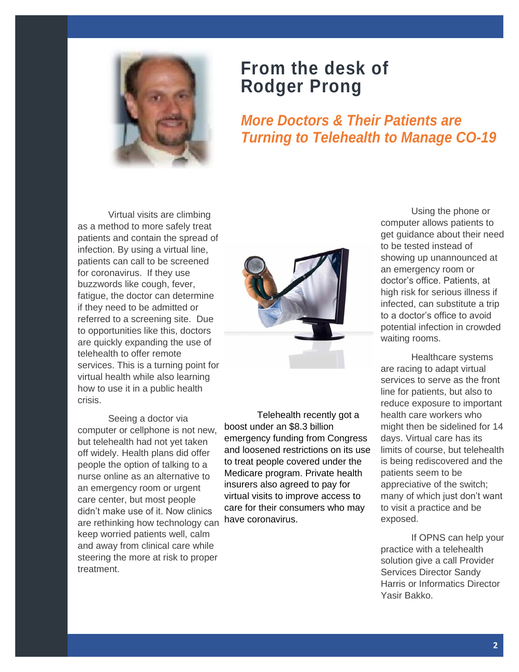

### **From the desk of Rodger Prong**

*More Doctors & Their Patients are Turning to Telehealth to Manage CO-19*

Virtual visits are climbing as a method to more safely treat patients and contain the spread of infection. By using a virtual line, patients can call to be screened for coronavirus. If they use buzzwords like cough, fever, fatigue, the doctor can determine if they need to be admitted or referred to a screening site. Due to opportunities like this, doctors are quickly expanding the use of telehealth to offer remote services. This is a turning point for virtual health while also learning how to use it in a public health crisis.

Seeing a doctor via computer or cellphone is not new, but telehealth had not yet taken off widely. Health plans did offer people the option of talking to a nurse online as an alternative to an emergency room or urgent care center, but most people didn't make use of it. Now clinics are rethinking how technology can keep worried patients well, calm and away from clinical care while steering the more at risk to proper treatment.



Telehealth recently got a boost under an \$8.3 billion emergency funding from Congress and loosened restrictions on its use to treat people covered under the Medicare program. Private health insurers also agreed to pay for virtual visits to improve access to care for their consumers who may have coronavirus.

Using the phone or computer allows patients to get guidance about their need to be tested instead of showing up unannounced at an emergency room or doctor's office. Patients, at high risk for serious illness if infected, can substitute a trip to a doctor's office to avoid potential infection in crowded waiting rooms.

Healthcare systems are racing to adapt virtual services to serve as the front line for patients, but also to reduce exposure to important health care workers who might then be sidelined for 14 days. Virtual care has its limits of course, but telehealth is being rediscovered and the patients seem to be appreciative of the switch; many of which just don't want to visit a practice and be exposed.

If OPNS can help your practice with a telehealth solution give a call Provider Services Director Sandy Harris or Informatics Director Yasir Bakko.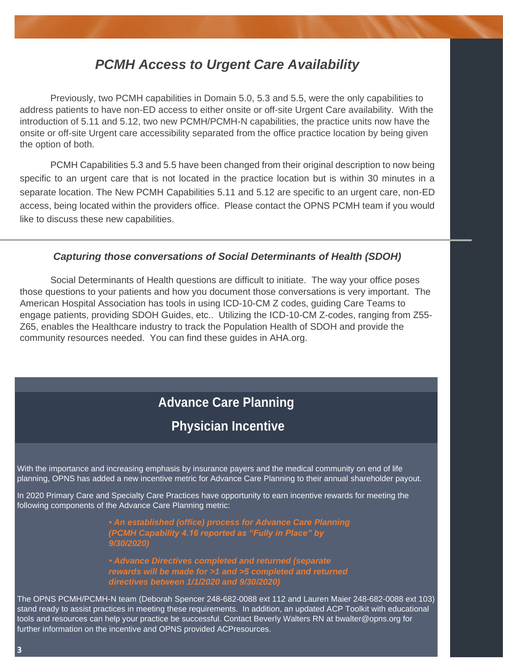### *PCMH Access to Urgent Care Availability*

Previously, two PCMH capabilities in Domain 5.0, 5.3 and 5.5, were the only capabilities to address patients to have non-ED access to either onsite or off-site Urgent Care availability. With the introduction of 5.11 and 5.12, two new PCMH/PCMH-N capabilities, the practice units now have the onsite or off-site Urgent care accessibility separated from the office practice location by being given the option of both.

PCMH Capabilities 5.3 and 5.5 have been changed from their original description to now being specific to an urgent care that is not located in the practice location but is within 30 minutes in a separate location. The New PCMH Capabilities 5.11 and 5.12 are specific to an urgent care, non-ED access, being located within the providers office. Please contact the OPNS PCMH team if you would like to discuss these new capabilities.

#### *Capturing those conversations of Social Determinants of Health (SDOH)*

Social Determinants of Health questions are difficult to initiate. The way your office poses those questions to your patients and how you document those conversations is very important. The American Hospital Association has tools in using ICD-10-CM Z codes, guiding Care Teams to engage patients, providing SDOH Guides, etc.. Utilizing the ICD-10-CM Z-codes, ranging from Z55- Z65, enables the Healthcare industry to track the Population Health of SDOH and provide the community resources needed. You can find these guides in AHA.org.

## **Advance Care Planning**

### **Physician Incentive**

With the importance and increasing emphasis by insurance payers and the medical community on end of life planning, OPNS has added a new incentive metric for Advance Care Planning to their annual shareholder payout.<br>

In 2020 Primary Care and Specialty Care Practices have opportunity to earn incentive rewards for meeting the following components of the Advance Care Planning metric:

> *• An established (office) process for Advance Care Planning (PCMH Capability 4.16 reported as "Fully in Place" by 9/30/2020)*

> *• Advance Directives completed and returned (separate directives between 1/1/2020 and 9/30/2020)*

The OPNS PCMH/PCMH-N team (Deborah Spencer 248-682-0088 ext 112 and Lauren Maier 248-682-0088 ext 103) stand ready to assist practices in meeting these requirements. In addition, an updated ACP Toolkit with educational tools and resources can help your practice be successful. Contact Beverly Walters RN at bwalter@opns.org for further information on the incentive and OPNS provided ACPresources.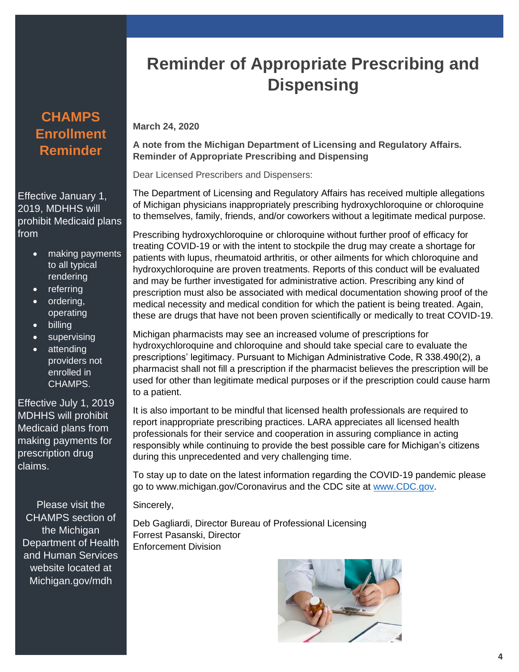### **CHAMPS Enrollment Reminder**

Effective January 1, 2019, MDHHS will prohibit Medicaid plans from

- making payments to all typical rendering
- referring
- ordering, operating
- billing
- supervising
- attending providers not enrolled in CHAMPS.

Effective July 1, 2019 MDHHS will prohibit Medicaid plans from making payments for prescription drug claims.

Please visit the CHAMPS section of the Michigan Department of Health and Human Services website located at Michigan.gov/mdh

# **Reminder of Appropriate Prescribing and Dispensing**

#### **March 24, 2020**

**A note from the Michigan Department of Licensing and Regulatory Affairs. Reminder of Appropriate Prescribing and Dispensing**

Dear Licensed Prescribers and Dispensers:

The Department of Licensing and Regulatory Affairs has received multiple allegations of Michigan physicians inappropriately prescribing hydroxychloroquine or chloroquine to themselves, family, friends, and/or coworkers without a legitimate medical purpose.

Prescribing hydroxychloroquine or chloroquine without further proof of efficacy for treating COVID-19 or with the intent to stockpile the drug may create a shortage for patients with lupus, rheumatoid arthritis, or other ailments for which chloroquine and hydroxychloroquine are proven treatments. Reports of this conduct will be evaluated and may be further investigated for administrative action. Prescribing any kind of prescription must also be associated with medical documentation showing proof of the medical necessity and medical condition for which the patient is being treated. Again, these are drugs that have not been proven scientifically or medically to treat COVID-19.

Michigan pharmacists may see an increased volume of prescriptions for hydroxychloroquine and chloroquine and should take special care to evaluate the prescriptions' legitimacy. Pursuant to Michigan Administrative Code, R 338.490(2), a pharmacist shall not fill a prescription if the pharmacist believes the prescription will be used for other than legitimate medical purposes or if the prescription could cause harm to a patient.

It is also important to be mindful that licensed health professionals are required to report inappropriate prescribing practices. LARA appreciates all licensed health professionals for their service and cooperation in assuring compliance in acting responsibly while continuing to provide the best possible care for Michigan's citizens during this unprecedented and very challenging time.

To stay up to date on the latest information regarding the COVID-19 pandemic please go to www.michigan.gov/Coronavirus and the CDC site at [www.CDC.gov.](http://www.cdc.gov/)

Sincerely,

Deb Gagliardi, Director Bureau of Professional Licensing Forrest Pasanski, Director Enforcement Division

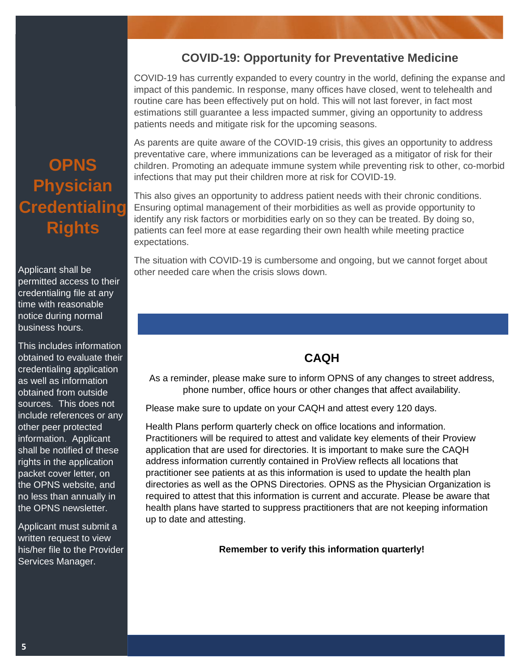#### **COVID-19: Opportunity for Preventative Medicine**

COVID-19 has currently expanded to every country in the world, defining the expanse and impact of this pandemic. In response, many offices have closed, went to telehealth and routine care has been effectively put on hold. This will not last forever, in fact most estimations still guarantee a less impacted summer, giving an opportunity to address patients needs and mitigate risk for the upcoming seasons.

As parents are quite aware of the COVID-19 crisis, this gives an opportunity to address preventative care, where immunizations can be leveraged as a mitigator of risk for their children. Promoting an adequate immune system while preventing risk to other, co-morbid infections that may put their children more at risk for COVID-19.

This also gives an opportunity to address patient needs with their chronic conditions. Ensuring optimal management of their morbidities as well as provide opportunity to identify any risk factors or morbidities early on so they can be treated. By doing so, patients can feel more at ease regarding their own health while meeting practice expectations.

The situation with COVID-19 is cumbersome and ongoing, but we cannot forget about other needed care when the crisis slows down.

#### **CAQH**

As a reminder, please make sure to inform OPNS of any changes to street address, phone number, office hours or other changes that affect availability.

Please make sure to update on your CAQH and attest every 120 days.

Health Plans perform quarterly check on office locations and information. Practitioners will be required to attest and validate key elements of their Proview application that are used for directories. It is important to make sure the CAQH address information currently contained in ProView reflects all locations that practitioner see patients at as this information is used to update the health plan directories as well as the OPNS Directories. OPNS as the Physician Organization is required to attest that this information is current and accurate. Please be aware that health plans have started to suppress practitioners that are not keeping information up to date and attesting.

**Remember to verify this information quarterly!**

# **OPNS Physician Credentialing Rights**

Applicant shall be permitted access to their credentialing file at any time with reasonable notice during normal business hours.

This includes information obtained to evaluate their credentialing application as well as information obtained from outside sources. This does not include references or any other peer protected information. Applicant shall be notified of these rights in the application packet cover letter, on the OPNS website, and no less than annually in the OPNS newsletter.

Applicant must submit a written request to view his/her file to the Provider Services Manager.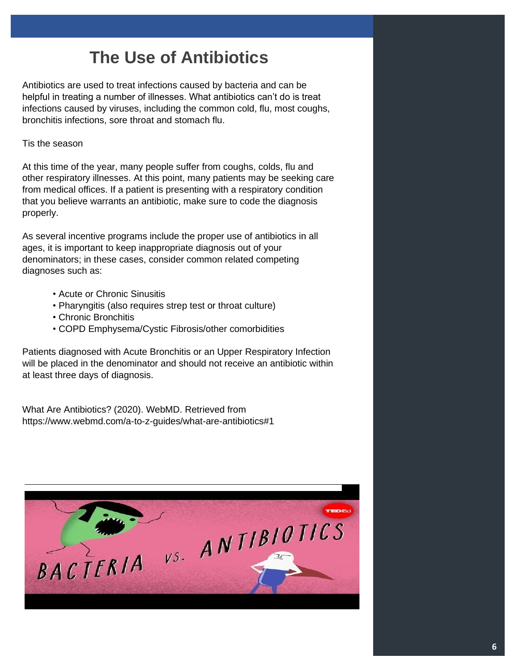# **The Use of Antibiotics**

Antibiotics are used to treat infections caused by bacteria and can be helpful in treating a number of illnesses. What antibiotics can't do is treat infections caused by viruses, including the common cold, flu, most coughs, bronchitis infections, sore throat and stomach flu.

#### Tis the season

At this time of the year, many people suffer from coughs, colds, flu and other respiratory illnesses. At this point, many patients may be seeking care from medical offices. If a patient is presenting with a respiratory condition that you believe warrants an antibiotic, make sure to code the diagnosis properly.

As several incentive programs include the proper use of antibiotics in all ages, it is important to keep inappropriate diagnosis out of your denominators; in these cases, consider common related competing diagnoses such as:

- Acute or Chronic Sinusitis
- Pharyngitis (also requires strep test or throat culture)
- Chronic Bronchitis
- COPD Emphysema/Cystic Fibrosis/other comorbidities

Patients diagnosed with Acute Bronchitis or an Upper Respiratory Infection will be placed in the denominator and should not receive an antibiotic within at least three days of diagnosis.

What Are Antibiotics? (2020). WebMD. Retrieved from https://www.webmd.com/a-to-z-guides/what-are-antibiotics#1

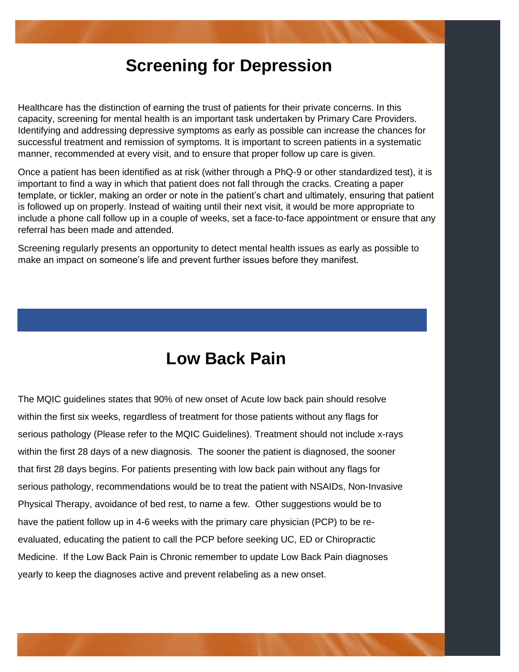### **Screening for Depression**

Healthcare has the distinction of earning the trust of patients for their private concerns. In this capacity, screening for mental health is an important task undertaken by Primary Care Providers. Identifying and addressing depressive symptoms as early as possible can increase the chances for successful treatment and remission of symptoms. It is important to screen patients in a systematic manner, recommended at every visit, and to ensure that proper follow up care is given.

Once a patient has been identified as at risk (wither through a PhQ-9 or other standardized test), it is important to find a way in which that patient does not fall through the cracks. Creating a paper template, or tickler, making an order or note in the patient's chart and ultimately, ensuring that patient is followed up on properly. Instead of waiting until their next visit, it would be more appropriate to include a phone call follow up in a couple of weeks, set a face-to-face appointment or ensure that any referral has been made and attended.

Screening regularly presents an opportunity to detect mental health issues as early as possible to make an impact on someone's life and prevent further issues before they manifest.

### **Low Back Pain**

The MQIC guidelines states that 90% of new onset of Acute low back pain should resolve within the first six weeks, regardless of treatment for those patients without any flags for serious pathology (Please refer to the MQIC Guidelines). Treatment should not include x-rays within the first 28 days of a new diagnosis. The sooner the patient is diagnosed, the sooner that first 28 days begins. For patients presenting with low back pain without any flags for serious pathology, recommendations would be to treat the patient with NSAIDs, Non-Invasive Physical Therapy, avoidance of bed rest, to name a few. Other suggestions would be to have the patient follow up in 4-6 weeks with the primary care physician (PCP) to be reevaluated, educating the patient to call the PCP before seeking UC, ED or Chiropractic Medicine. If the Low Back Pain is Chronic remember to update Low Back Pain diagnoses yearly to keep the diagnoses active and prevent relabeling as a new onset.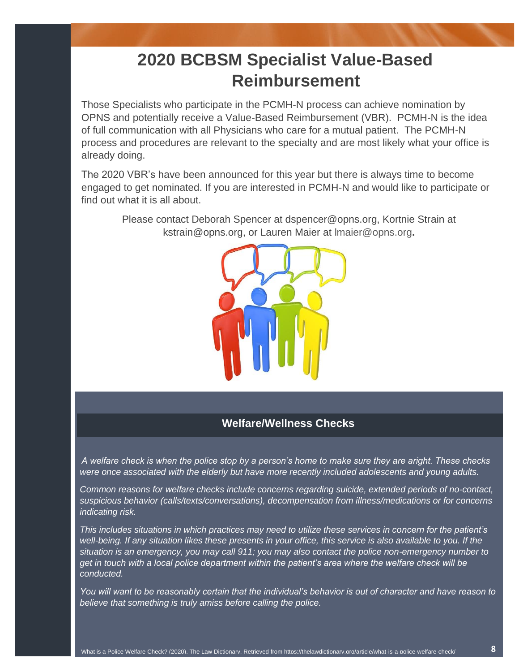# **2020 BCBSM Specialist Value-Based Reimbursement**

Those Specialists who participate in the PCMH-N process can achieve nomination by OPNS and potentially receive a Value-Based Reimbursement (VBR). PCMH-N is the idea of full communication with all Physicians who care for a mutual patient. The PCMH-N process and procedures are relevant to the specialty and are most likely what your office is already doing.

The 2020 VBR's have been announced for this year but there is always time to become engaged to get nominated. If you are interested in PCMH-N and would like to participate or find out what it is all about.

Please contact Deborah Spencer at dspencer@opns.org, Kortnie Strain at kstrain@opns.org, or Lauren Maier at [lmaier@opns.org](mailto:lmaier@opns.org)**.**



#### **Welfare/Wellness Checks**

*A welfare check is when the police stop by a person's home to make sure they are aright. These checks were once associated with the elderly but have more recently included adolescents and young adults.* 

*Common reasons for welfare checks include concerns regarding suicide, extended periods of no-contact, suspicious behavior (calls/texts/conversations), decompensation from illness/medications or for concerns indicating risk.* 

*This includes situations in which practices may need to utilize these services in concern for the patient's well-being. If any situation likes these presents in your office, this service is also available to you. If the situation is an emergency, you may call 911; you may also contact the police non-emergency number to get in touch with a local police department within the patient's area where the welfare check will be conducted.* 

*You will want to be reasonably certain that the individual's behavior is out of character and have reason to believe that something is truly amiss before calling the police.*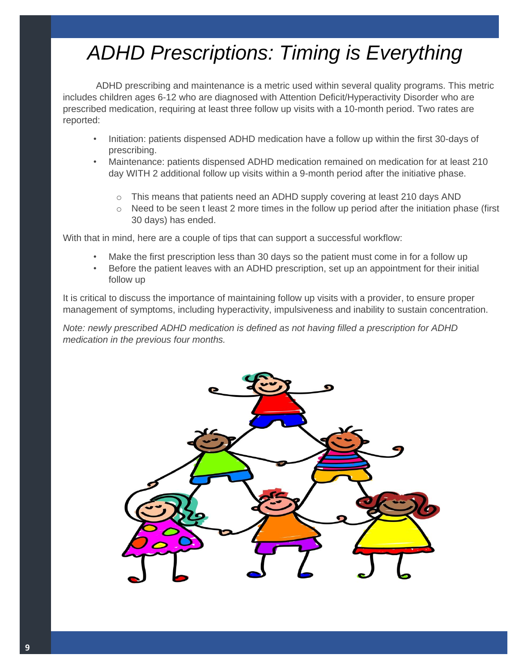# *ADHD Prescriptions: Timing is Everything*

ADHD prescribing and maintenance is a metric used within several quality programs. This metric includes children ages 6-12 who are diagnosed with Attention Deficit/Hyperactivity Disorder who are prescribed medication, requiring at least three follow up visits with a 10-month period. Two rates are reported:

- Initiation: patients dispensed ADHD medication have a follow up within the first 30-days of prescribing.
- Maintenance: patients dispensed ADHD medication remained on medication for at least 210 day WITH 2 additional follow up visits within a 9-month period after the initiative phase.
	- $\circ$  This means that patients need an ADHD supply covering at least 210 days AND
	- $\circ$  Need to be seen t least 2 more times in the follow up period after the initiation phase (first 30 days) has ended.

With that in mind, here are a couple of tips that can support a successful workflow:

- Make the first prescription less than 30 days so the patient must come in for a follow up
- Before the patient leaves with an ADHD prescription, set up an appointment for their initial follow up

It is critical to discuss the importance of maintaining follow up visits with a provider, to ensure proper management of symptoms, including hyperactivity, impulsiveness and inability to sustain concentration.

*Note: newly prescribed ADHD medication is defined as not having filled a prescription for ADHD medication in the previous four months.*